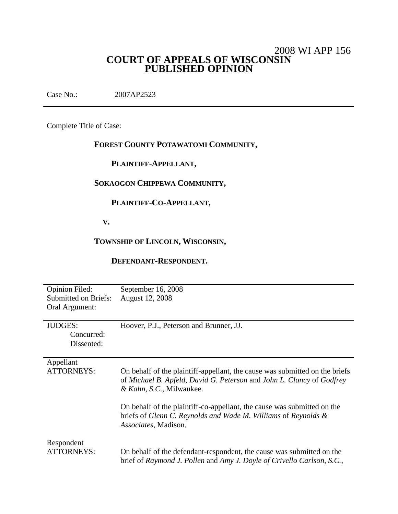# 2008 WI APP 156 **COURT OF APPEALS OF WISCONSIN PUBLISHED OPINION**

Case No.: 2007AP2523

Complete Title of Case:

## **FOREST COUNTY POTAWATOMI COMMUNITY,**

## **PLAINTIFF-APPELLANT,**

## **SOKAOGON CHIPPEWA COMMUNITY,**

## **PLAINTIFF-CO-APPELLANT,**

**V.**

## **TOWNSHIP OF LINCOLN, WISCONSIN,**

#### **DEFENDANT-RESPONDENT.**

| <b>Opinion Filed:</b>           | September 16, 2008                                                                                                                                                               |
|---------------------------------|----------------------------------------------------------------------------------------------------------------------------------------------------------------------------------|
| <b>Submitted on Briefs:</b>     | August 12, 2008                                                                                                                                                                  |
| Oral Argument:                  |                                                                                                                                                                                  |
|                                 |                                                                                                                                                                                  |
| <b>JUDGES:</b>                  | Hoover, P.J., Peterson and Brunner, JJ.                                                                                                                                          |
| Concurred:                      |                                                                                                                                                                                  |
| Dissented:                      |                                                                                                                                                                                  |
|                                 |                                                                                                                                                                                  |
| Appellant                       |                                                                                                                                                                                  |
| <b>ATTORNEYS:</b>               | On behalf of the plaintiff-appellant, the cause was submitted on the briefs<br>of Michael B. Apfeld, David G. Peterson and John L. Clancy of Godfrey<br>& Kahn, S.C., Milwaukee. |
|                                 | On behalf of the plaintiff-co-appellant, the cause was submitted on the<br>briefs of Glenn C. Reynolds and Wade M. Williams of Reynolds &<br><i>Associates, Madison.</i>         |
| Respondent<br><b>ATTORNEYS:</b> | On behalf of the defendant-respondent, the cause was submitted on the<br>brief of Raymond J. Pollen and Amy J. Doyle of Crivello Carlson, S.C.,                                  |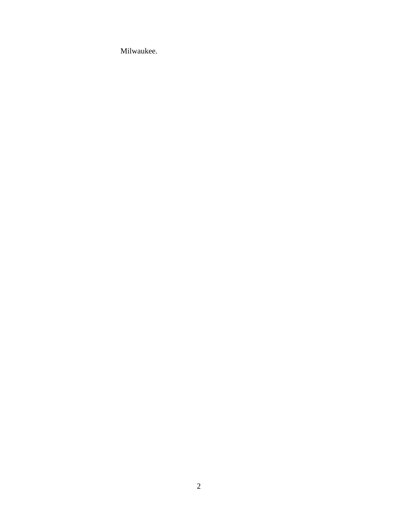Milwaukee.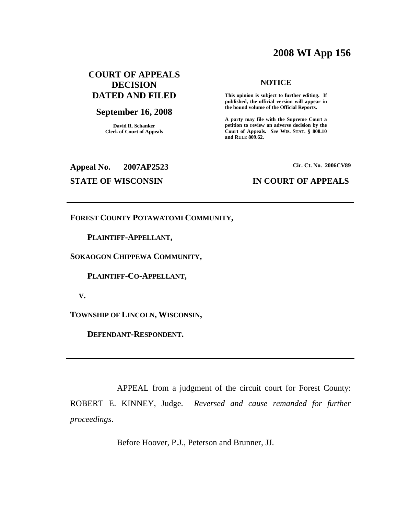# **2008 WI App 156**

## **COURT OF APPEALS DECISION DATED AND FILED**

### **September 16, 2008**

**David R. Schanker Clerk of Court of Appeals**

#### **NOTICE**

**This opinion is subject to further editing. If published, the official version will appear in the bound volume of the Official Reports.**

**A party may file with the Supreme Court a petition to review an adverse decision by the Court of Appeals.** *See* **WIS. STAT. § 808.10 and RULE 809.62.**

**Appeal No. 2007AP2523**

**Cir. Ct. No. 2006CV89**

#### **STATE OF WISCONSIN IN COURT OF APPEALS**

**FOREST COUNTY POTAWATOMI COMMUNITY,**

**PLAINTIFF-APPELLANT,**

**SOKAOGON CHIPPEWA COMMUNITY,**

**PLAINTIFF-CO-APPELLANT,**

**V.**

**TOWNSHIP OF LINCOLN, WISCONSIN,**

**DEFENDANT-RESPONDENT.**

APPEAL from a judgment of the circuit court for Forest County: ROBERT E. KINNEY, Judge. *Reversed and cause remanded for further proceedings*.

Before Hoover, P.J., Peterson and Brunner, JJ.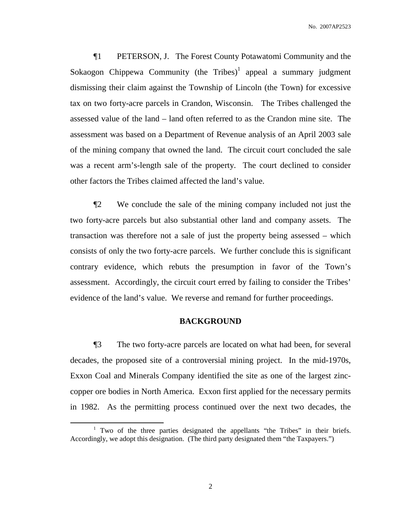¶1 PETERSON, J. The Forest County Potawatomi Community and the Sokaogon Chippewa Community (the Tribes)<sup>1</sup> appeal a summary judgment dismissing their claim against the Township of Lincoln (the Town) for excessive tax on two forty-acre parcels in Crandon, Wisconsin. The Tribes challenged the assessed value of the land – land often referred to as the Crandon mine site. The assessment was based on a Department of Revenue analysis of an April 2003 sale of the mining company that owned the land. The circuit court concluded the sale was a recent arm's-length sale of the property. The court declined to consider other factors the Tribes claimed affected the land's value.

¶2 We conclude the sale of the mining company included not just the two forty-acre parcels but also substantial other land and company assets. The transaction was therefore not a sale of just the property being assessed – which consists of only the two forty-acre parcels. We further conclude this is significant contrary evidence, which rebuts the presumption in favor of the Town's assessment. Accordingly, the circuit court erred by failing to consider the Tribes' evidence of the land's value. We reverse and remand for further proceedings.

#### **BACKGROUND**

¶3 The two forty-acre parcels are located on what had been, for several decades, the proposed site of a controversial mining project. In the mid-1970s, Exxon Coal and Minerals Company identified the site as one of the largest zinccopper ore bodies in North America. Exxon first applied for the necessary permits in 1982. As the permitting process continued over the next two decades, the

<sup>&</sup>lt;sup>1</sup> Two of the three parties designated the appellants "the Tribes" in their briefs. Accordingly, we adopt this designation. (The third party designated them "the Taxpayers.")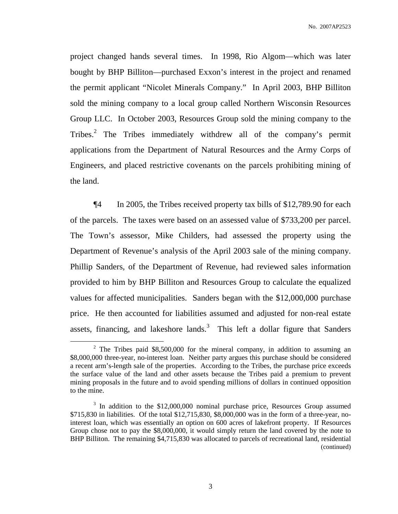project changed hands several times. In 1998, Rio Algom—which was later bought by BHP Billiton—purchased Exxon's interest in the project and renamed the permit applicant "Nicolet Minerals Company." In April 2003, BHP Billiton sold the mining company to a local group called Northern Wisconsin Resources Group LLC. In October 2003, Resources Group sold the mining company to the Tribes.<sup>2</sup> The Tribes immediately withdrew all of the company's permit applications from the Department of Natural Resources and the Army Corps of Engineers, and placed restrictive covenants on the parcels prohibiting mining of the land.

¶4 In 2005, the Tribes received property tax bills of \$12,789.90 for each of the parcels. The taxes were based on an assessed value of \$733,200 per parcel. The Town's assessor, Mike Childers, had assessed the property using the Department of Revenue's analysis of the April 2003 sale of the mining company. Phillip Sanders, of the Department of Revenue, had reviewed sales information provided to him by BHP Billiton and Resources Group to calculate the equalized values for affected municipalities. Sanders began with the \$12,000,000 purchase price. He then accounted for liabilities assumed and adjusted for non-real estate assets, financing, and lakeshore lands. $3$  This left a dollar figure that Sanders

<sup>&</sup>lt;sup>2</sup> The Tribes paid \$8,500,000 for the mineral company, in addition to assuming an \$8,000,000 three-year, no-interest loan. Neither party argues this purchase should be considered a recent arm's-length sale of the properties. According to the Tribes, the purchase price exceeds the surface value of the land and other assets because the Tribes paid a premium to prevent mining proposals in the future and to avoid spending millions of dollars in continued opposition to the mine.

<sup>&</sup>lt;sup>3</sup> In addition to the \$12,000,000 nominal purchase price, Resources Group assumed \$715,830 in liabilities. Of the total \$12,715,830, \$8,000,000 was in the form of a three-year, nointerest loan, which was essentially an option on 600 acres of lakefront property. If Resources Group chose not to pay the \$8,000,000, it would simply return the land covered by the note to BHP Billiton. The remaining \$4,715,830 was allocated to parcels of recreational land, residential (continued)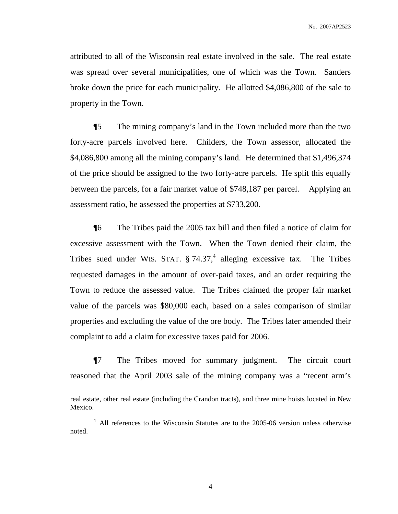attributed to all of the Wisconsin real estate involved in the sale. The real estate was spread over several municipalities, one of which was the Town. Sanders broke down the price for each municipality. He allotted \$4,086,800 of the sale to property in the Town.

¶5 The mining company's land in the Town included more than the two forty-acre parcels involved here. Childers, the Town assessor, allocated the \$4,086,800 among all the mining company's land. He determined that \$1,496,374 of the price should be assigned to the two forty-acre parcels. He split this equally between the parcels, for a fair market value of \$748,187 per parcel. Applying an assessment ratio, he assessed the properties at \$733,200.

¶6 The Tribes paid the 2005 tax bill and then filed a notice of claim for excessive assessment with the Town. When the Town denied their claim, the Tribes sued under WIS. STAT. § 74.37,<sup>4</sup> alleging excessive tax. The Tribes requested damages in the amount of over-paid taxes, and an order requiring the Town to reduce the assessed value. The Tribes claimed the proper fair market value of the parcels was \$80,000 each, based on a sales comparison of similar properties and excluding the value of the ore body. The Tribes later amended their complaint to add a claim for excessive taxes paid for 2006.

¶7 The Tribes moved for summary judgment. The circuit court reasoned that the April 2003 sale of the mining company was a "recent arm's

real estate, other real estate (including the Crandon tracts), and three mine hoists located in New Mexico.

<sup>&</sup>lt;sup>4</sup> All references to the Wisconsin Statutes are to the 2005-06 version unless otherwise noted.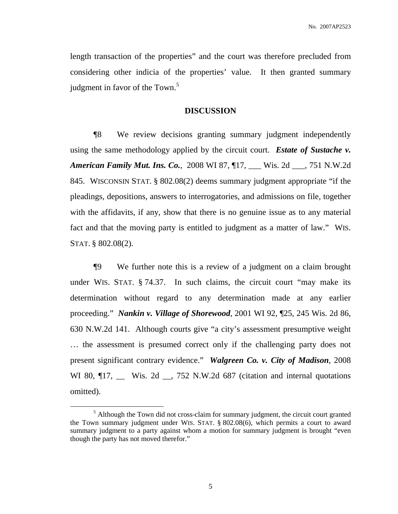length transaction of the properties" and the court was therefore precluded from considering other indicia of the properties' value. It then granted summary judgment in favor of the Town.<sup>5</sup>

#### **DISCUSSION**

¶8 We review decisions granting summary judgment independently using the same methodology applied by the circuit court. *Estate of Sustache v. American Family Mut. Ins. Co.*, 2008 WI 87, ¶17, \_\_\_ Wis. 2d \_\_\_, 751 N.W.2d 845. WISCONSIN STAT. § 802.08(2) deems summary judgment appropriate "if the pleadings, depositions, answers to interrogatories, and admissions on file, together with the affidavits, if any, show that there is no genuine issue as to any material fact and that the moving party is entitled to judgment as a matter of law." WIS. STAT. § 802.08(2).

¶9 We further note this is a review of a judgment on a claim brought under WIS. STAT. § 74.37. In such claims, the circuit court "may make its determination without regard to any determination made at any earlier proceeding." *Nankin v. Village of Shorewood*, 2001 WI 92, ¶25, 245 Wis. 2d 86, 630 N.W.2d 141. Although courts give "a city's assessment presumptive weight … the assessment is presumed correct only if the challenging party does not present significant contrary evidence." *Walgreen Co. v. City of Madison*, 2008 WI 80,  $\P$ 17, \_\_ Wis. 2d \_\_, 752 N.W.2d 687 (citation and internal quotations omitted).

 $<sup>5</sup>$  Although the Town did not cross-claim for summary judgment, the circuit court granted</sup> the Town summary judgment under WIS. STAT. § 802.08(6), which permits a court to award summary judgment to a party against whom a motion for summary judgment is brought "even though the party has not moved therefor."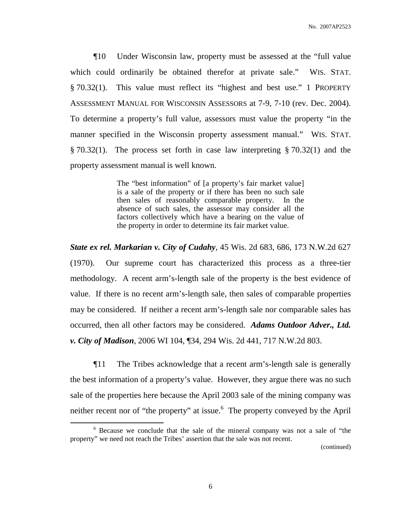¶10 Under Wisconsin law, property must be assessed at the "full value which could ordinarily be obtained therefor at private sale." WIS. STAT. § 70.32(1). This value must reflect its "highest and best use." 1 PROPERTY ASSESSMENT MANUAL FOR WISCONSIN ASSESSORS at 7-9, 7-10 (rev. Dec. 2004). To determine a property's full value, assessors must value the property "in the manner specified in the Wisconsin property assessment manual." WIS. STAT. § 70.32(1). The process set forth in case law interpreting § 70.32(1) and the property assessment manual is well known.

> The "best information" of [a property's fair market value] is a sale of the property or if there has been no such sale then sales of reasonably comparable property. In the absence of such sales, the assessor may consider all the factors collectively which have a bearing on the value of the property in order to determine its fair market value.

*State ex rel. Markarian v. City of Cudahy*, 45 Wis. 2d 683, 686, 173 N.W.2d 627 (1970). Our supreme court has characterized this process as a three-tier methodology. A recent arm's-length sale of the property is the best evidence of value. If there is no recent arm's-length sale, then sales of comparable properties may be considered. If neither a recent arm's-length sale nor comparable sales has occurred, then all other factors may be considered. *Adams Outdoor Adver., Ltd. v. City of Madison*, 2006 WI 104, ¶34, 294 Wis. 2d 441, 717 N.W.2d 803.

¶11 The Tribes acknowledge that a recent arm's-length sale is generally the best information of a property's value. However, they argue there was no such sale of the properties here because the April 2003 sale of the mining company was neither recent nor of "the property" at issue.<sup>6</sup> The property conveyed by the April

(continued)

<sup>6</sup> Because we conclude that the sale of the mineral company was not a sale of "the property" we need not reach the Tribes' assertion that the sale was not recent.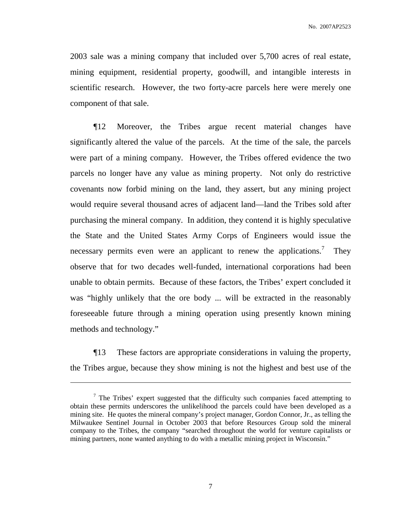2003 sale was a mining company that included over 5,700 acres of real estate, mining equipment, residential property, goodwill, and intangible interests in scientific research. However, the two forty-acre parcels here were merely one component of that sale.

¶12 Moreover, the Tribes argue recent material changes have significantly altered the value of the parcels. At the time of the sale, the parcels were part of a mining company. However, the Tribes offered evidence the two parcels no longer have any value as mining property. Not only do restrictive covenants now forbid mining on the land, they assert, but any mining project would require several thousand acres of adjacent land—land the Tribes sold after purchasing the mineral company. In addition, they contend it is highly speculative the State and the United States Army Corps of Engineers would issue the necessary permits even were an applicant to renew the applications.<sup>7</sup> They observe that for two decades well-funded, international corporations had been unable to obtain permits. Because of these factors, the Tribes' expert concluded it was "highly unlikely that the ore body ... will be extracted in the reasonably foreseeable future through a mining operation using presently known mining methods and technology."

¶13 These factors are appropriate considerations in valuing the property, the Tribes argue, because they show mining is not the highest and best use of the

 $\frac{7}{1}$  The Tribes' expert suggested that the difficulty such companies faced attempting to obtain these permits underscores the unlikelihood the parcels could have been developed as a mining site. He quotes the mineral company's project manager, Gordon Connor, Jr., as telling the Milwaukee Sentinel Journal in October 2003 that before Resources Group sold the mineral company to the Tribes, the company "searched throughout the world for venture capitalists or mining partners, none wanted anything to do with a metallic mining project in Wisconsin."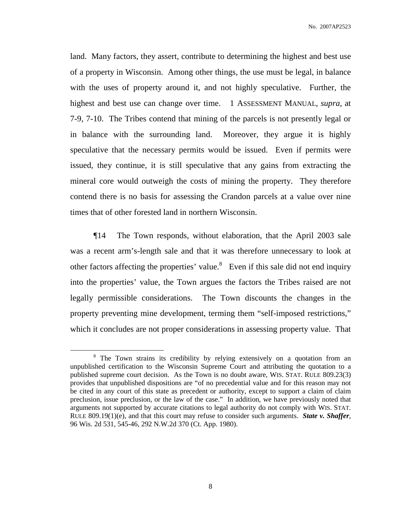land. Many factors, they assert, contribute to determining the highest and best use of a property in Wisconsin. Among other things, the use must be legal, in balance with the uses of property around it, and not highly speculative. Further, the highest and best use can change over time. 1 ASSESSMENT MANUAL, *supra,* at 7-9, 7-10. The Tribes contend that mining of the parcels is not presently legal or in balance with the surrounding land. Moreover, they argue it is highly speculative that the necessary permits would be issued. Even if permits were issued, they continue, it is still speculative that any gains from extracting the mineral core would outweigh the costs of mining the property. They therefore contend there is no basis for assessing the Crandon parcels at a value over nine times that of other forested land in northern Wisconsin.

¶14 The Town responds, without elaboration, that the April 2003 sale was a recent arm's-length sale and that it was therefore unnecessary to look at other factors affecting the properties' value.<sup>8</sup> Even if this sale did not end inquiry into the properties' value, the Town argues the factors the Tribes raised are not legally permissible considerations. The Town discounts the changes in the property preventing mine development, terming them "self-imposed restrictions," which it concludes are not proper considerations in assessing property value. That

<sup>&</sup>lt;sup>8</sup> The Town strains its credibility by relying extensively on a quotation from an unpublished certification to the Wisconsin Supreme Court and attributing the quotation to a published supreme court decision. As the Town is no doubt aware, WIS. STAT. RULE 809.23(3) provides that unpublished dispositions are "of no precedential value and for this reason may not be cited in any court of this state as precedent or authority, except to support a claim of claim preclusion, issue preclusion, or the law of the case." In addition, we have previously noted that arguments not supported by accurate citations to legal authority do not comply with WIS. STAT. RULE 809.19(1)(e), and that this court may refuse to consider such arguments. *State v. Shaffer*, 96 Wis. 2d 531, 545-46, 292 N.W.2d 370 (Ct. App. 1980).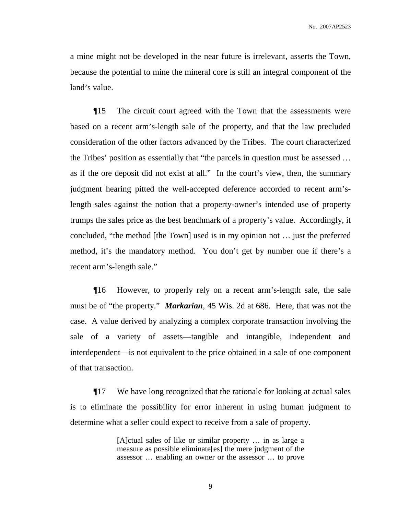a mine might not be developed in the near future is irrelevant, asserts the Town, because the potential to mine the mineral core is still an integral component of the land's value.

¶15 The circuit court agreed with the Town that the assessments were based on a recent arm's-length sale of the property, and that the law precluded consideration of the other factors advanced by the Tribes. The court characterized the Tribes' position as essentially that "the parcels in question must be assessed … as if the ore deposit did not exist at all." In the court's view, then, the summary judgment hearing pitted the well-accepted deference accorded to recent arm'slength sales against the notion that a property-owner's intended use of property trumps the sales price as the best benchmark of a property's value. Accordingly, it concluded, "the method [the Town] used is in my opinion not … just the preferred method, it's the mandatory method. You don't get by number one if there's a recent arm's-length sale."

¶16 However, to properly rely on a recent arm's-length sale, the sale must be of "the property." *Markarian*, 45 Wis. 2d at 686. Here, that was not the case. A value derived by analyzing a complex corporate transaction involving the sale of a variety of assets—tangible and intangible, independent and interdependent—is not equivalent to the price obtained in a sale of one component of that transaction.

¶17 We have long recognized that the rationale for looking at actual sales is to eliminate the possibility for error inherent in using human judgment to determine what a seller could expect to receive from a sale of property.

> [A]ctual sales of like or similar property … in as large a measure as possible eliminate[es] the mere judgment of the assessor … enabling an owner or the assessor … to prove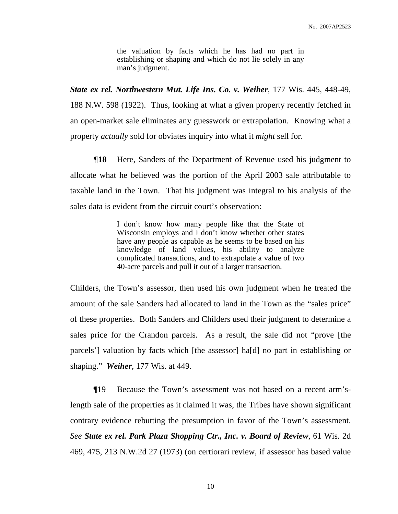the valuation by facts which he has had no part in establishing or shaping and which do not lie solely in any man's judgment.

*State ex rel. Northwestern Mut. Life Ins. Co. v. Weiher*, 177 Wis. 445, 448-49, 188 N.W. 598 (1922). Thus, looking at what a given property recently fetched in an open-market sale eliminates any guesswork or extrapolation. Knowing what a property *actually* sold for obviates inquiry into what it *might* sell for.

**Theorem Figure 18** Here, Sanders of the Department of Revenue used his judgment to allocate what he believed was the portion of the April 2003 sale attributable to taxable land in the Town. That his judgment was integral to his analysis of the sales data is evident from the circuit court's observation:

> I don't know how many people like that the State of Wisconsin employs and I don't know whether other states have any people as capable as he seems to be based on his knowledge of land values, his ability to analyze complicated transactions, and to extrapolate a value of two 40-acre parcels and pull it out of a larger transaction.

Childers, the Town's assessor, then used his own judgment when he treated the amount of the sale Sanders had allocated to land in the Town as the "sales price" of these properties. Both Sanders and Childers used their judgment to determine a sales price for the Crandon parcels. As a result, the sale did not "prove [the parcels'] valuation by facts which [the assessor] ha[d] no part in establishing or shaping." *Weiher*, 177 Wis. at 449.

¶19 Because the Town's assessment was not based on a recent arm'slength sale of the properties as it claimed it was, the Tribes have shown significant contrary evidence rebutting the presumption in favor of the Town's assessment. *See State ex rel. Park Plaza Shopping Ctr., Inc. v. Board of Review*, 61 Wis. 2d 469, 475, 213 N.W.2d 27 (1973) (on certiorari review, if assessor has based value